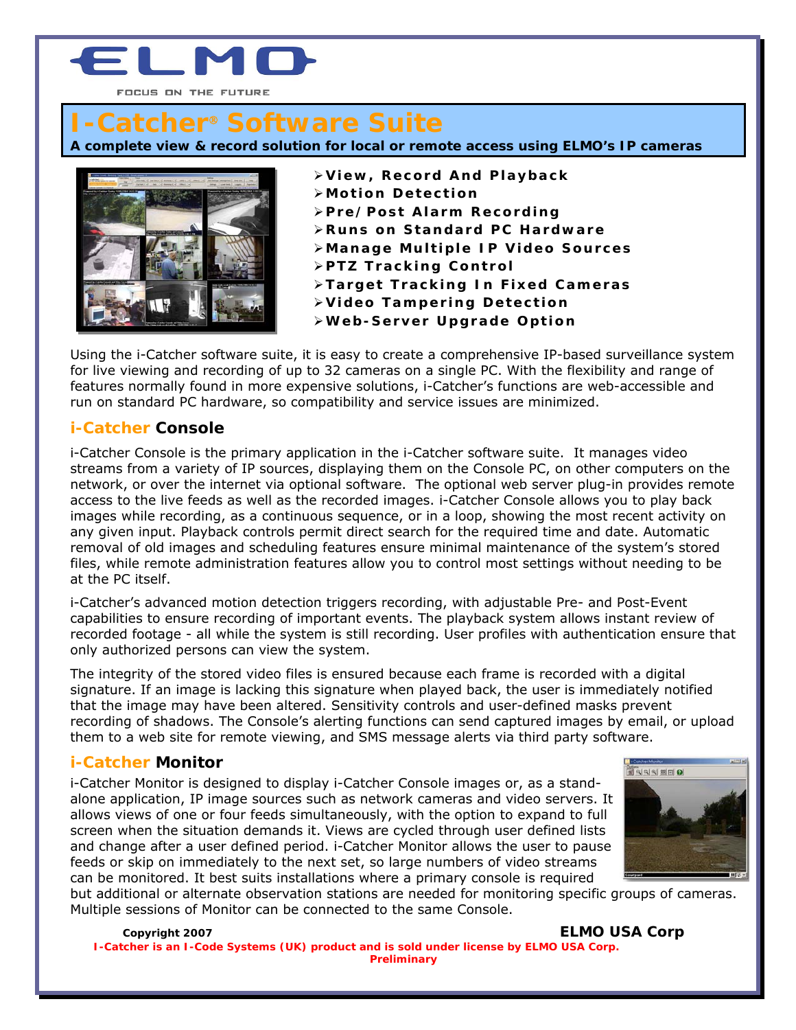

# **I-Catcher**® **Software Suite**

**A complete view & record solution for local or remote access using ELMO's IP cameras** 



¾**View, Record And Playback** 

- ¾**Motion Detection**
- ¾**Pre/Post Alarm Recording**
- ¾**Runs on Standard PC Hardware**
- ¾**Manage Multiple IP Video Sources**
- ¾**PTZ Tracking Control**
- ¾**Target Tracking In Fixed Cameras**
- ¾**Video Tampering Detection**
- ¾**Web-Server Upgrade Option**

Using the i-Catcher software suite, it is easy to create a comprehensive IP-based surveillance system for live viewing and recording of up to 32 cameras on a single PC. With the flexibility and range of features normally found in more expensive solutions, i-Catcher's functions are web-accessible and run on standard PC hardware, so compatibility and service issues are minimized.

# **i-Catcher Console**

i-Catcher Console is the primary application in the i-Catcher software suite. It manages video streams from a variety of IP sources, displaying them on the Console PC, on other computers on the network, or over the internet via optional software. The optional web server plug-in provides remote access to the live feeds as well as the recorded images. i-Catcher Console allows you to play back images while recording, as a continuous sequence, or in a loop, showing the most recent activity on any given input. Playback controls permit direct search for the required time and date. Automatic removal of old images and scheduling features ensure minimal maintenance of the system's stored files, while remote administration features allow you to control most settings without needing to be at the PC itself.

i-Catcher's advanced motion detection triggers recording, with adjustable Pre- and Post-Event capabilities to ensure recording of important events. The playback system allows instant review of recorded footage - all while the system is still recording. User profiles with authentication ensure that only authorized persons can view the system.

The integrity of the stored video files is ensured because each frame is recorded with a digital signature. If an image is lacking this signature when played back, the user is immediately notified that the image may have been altered. Sensitivity controls and user-defined masks prevent recording of shadows. The Console's alerting functions can send captured images by email, or upload them to a web site for remote viewing, and SMS message alerts via third party software.

## **i-Catcher Monitor**

i-Catcher Monitor is designed to display i-Catcher Console images or, as a standalone application, IP image sources such as network cameras and video servers. It allows views of one or four feeds simultaneously, with the option to expand to full screen when the situation demands it. Views are cycled through user defined lists and change after a user defined period. i-Catcher Monitor allows the user to pause feeds or skip on immediately to the next set, so large numbers of video streams can be monitored. It best suits installations where a primary console is required



but additional or alternate observation stations are needed for monitoring specific groups of cameras. Multiple sessions of Monitor can be connected to the same Console.

**Copyright 2007 ELMO USA Corp** 

**I-Catcher is an I-Code Systems (UK) product and is sold under license by ELMO USA Corp. Preliminary**